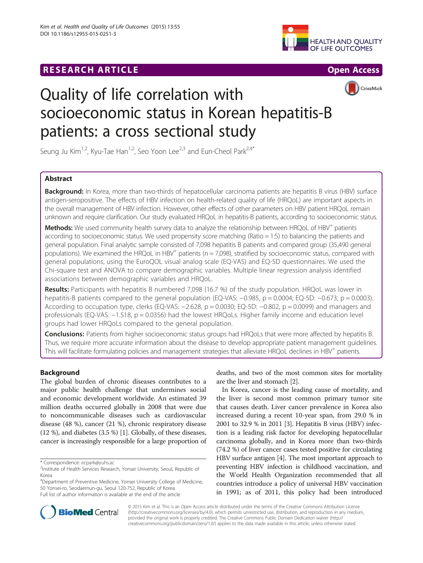# **RESEARCH ARTICLE Example 2014 12:30 THE Open Access**



CrossMark

# Quality of life correlation with socioeconomic status in Korean hepatitis-B patients: a cross sectional study

Seung Ju Kim<sup>1,2</sup>, Kyu-Tae Han<sup>1,2</sup>, Seo Yoon Lee<sup>2,3</sup> and Eun-Cheol Park<sup>2,4\*</sup>

# Abstract

Background: In Korea, more than two-thirds of hepatocellular carcinoma patients are hepatitis B virus (HBV) surface antigen-seropositive. The effects of HBV infection on health-related quality of life (HRQoL) are important aspects in the overall management of HBV infection. However, other effects of other parameters on HBV patient HRQoL remain unknown and require clarification. Our study evaluated HRQoL in hepatitis-B patients, according to socioeconomic status.

Methods: We used community health survey data to analyze the relationship between HRQoL of HBV<sup>+</sup> patients according to socioeconomic status. We used propensity score matching (Ratio  $= 1:5$ ) to balancing the patients and general population. Final analytic sample consisted of 7,098 hepatitis B patients and compared group (35,490 general populations). We examined the HRQoL in HBV<sup>+</sup> patients ( $n = 7,098$ ), stratified by socioeconomic status, compared with general populations, using the EuroQOL visual analog scale (EQ-VAS) and EQ-5D questionnaires. We used the Chi-square test and ANOVA to compare demographic variables. Multiple linear regression analysis identified associations between demographic variables and HRQoL.

Results: Participants with hepatitis B numbered 7,098 (16.7 %) of the study population. HRQoL was lower in hepatitis-B patients compared to the general population (EQ-VAS: −0.985, p = 0.0004; EQ-5D: −0.673, p = 0.0003). According to occupation type, clerks (EQ-VAS: −2.628, p = 0.0030; EQ-5D: −0.802, p = 0.0099) and managers and professionals (EQ-VAS: −1.518, p = 0.0356) had the lowest HRQoLs. Higher family income and education level groups had lower HRQoLs compared to the general population.

**Conclusions:** Patients from higher socioeconomic status groups had HRQoLs that were more affected by hepatitis B. Thus, we require more accurate information about the disease to develop appropriate patient management guidelines. This will facilitate formulating policies and management strategies that alleviate HRQoL declines in HBV<sup>+</sup> patients.

# Background

The global burden of chronic diseases contributes to a major public health challenge that undermines social and economic development worldwide. An estimated 39 million deaths occurred globally in 2008 that were due to noncommunicable diseases such as cardiovascular disease (48 %), cancer (21 %), chronic respiratory disease (12 %), and diabetes (3.5 %) [\[1](#page-10-0)]. Globally, of these diseases, cancer is increasingly responsible for a large proportion of

4 Department of Preventive Medicine, Yonsei University College of Medicine, 50 Yonsei-ro, Seodaemun-gu, Seoul 120-752, Republic of Korea Full list of author information is available at the end of the article

deaths, and two of the most common sites for mortality are the liver and stomach [[2](#page-10-0)].

In Korea, cancer is the leading cause of mortality, and the liver is second most common primary tumor site that causes death. Liver cancer prevalence in Korea also increased during a recent 10-year span, from 29.0 % in 2001 to 32.9 % in 2011 [\[3](#page-10-0)]. Hepatitis B virus (HBV) infection is a leading risk factor for developing hepatocellular carcinoma globally, and in Korea more than two-thirds (74.2 %) of liver cancer cases tested positive for circulating HBV surface antigen [\[4](#page-10-0)]. The most important approach to preventing HBV infection is childhood vaccination, and the World Health Organization recommended that all countries introduce a policy of universal HBV vaccination in 1991; as of 2011, this policy had been introduced



© 2015 Kim et al. This is an Open Access article distributed under the terms of the Creative Commons Attribution License [\(http://creativecommons.org/licenses/by/4.0\)](http://creativecommons.org/licenses/by/4.0), which permits unrestricted use, distribution, and reproduction in any medium, provided the original work is properly credited. The Creative Commons Public Domain Dedication waiver [\(http://](http://creativecommons.org/publicdomain/zero/1.0/) [creativecommons.org/publicdomain/zero/1.0/\)](http://creativecommons.org/publicdomain/zero/1.0/) applies to the data made available in this article, unless otherwise stated.

<sup>\*</sup> Correspondence: [ecpark@yuhs.ac](mailto:ecpark@yuhs.ac) <sup>2</sup>

<sup>&</sup>lt;sup>2</sup>Institute of Health Services Research, Yonsei University, Seoul, Republic of Korea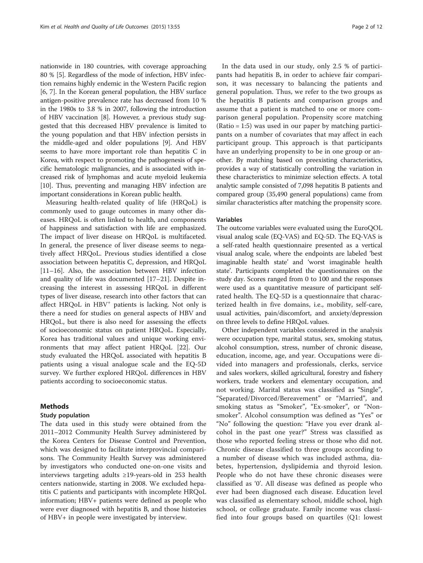nationwide in 180 countries, with coverage approaching 80 % [[5](#page-10-0)]. Regardless of the mode of infection, HBV infection remains highly endemic in the Western Pacific region [[6, 7\]](#page-10-0). In the Korean general population, the HBV surface antigen-positive prevalence rate has decreased from 10 % in the 1980s to 3.8 % in 2007, following the introduction of HBV vaccination [\[8](#page-10-0)]. However, a previous study suggested that this decreased HBV prevalence is limited to the young population and that HBV infection persists in the middle-aged and older populations [\[9\]](#page-11-0). And HBV seems to have more important role than hepatitis C in Korea, with respect to promoting the pathogenesis of specific hematologic malignancies, and is associated with increased risk of lymphomas and acute myeloid leukemia [[10](#page-11-0)]. Thus, preventing and managing HBV infection are important considerations in Korean public health.

Measuring health-related quality of life (HRQoL) is commonly used to gauge outcomes in many other diseases. HRQoL is often linked to health, and components of happiness and satisfaction with life are emphasized. The impact of liver disease on HRQoL is multifaceted. In general, the presence of liver disease seems to negatively affect HRQoL. Previous studies identified a close association between hepatitis C, depression, and HRQoL [[11](#page-11-0)–[16](#page-11-0)]. Also, the association between HBV infection and quality of life was documented [\[17](#page-11-0)–[21\]](#page-11-0). Despite increasing the interest in assessing HRQoL in different types of liver disease, research into other factors that can affect HRQoL in HBV<sup>+</sup> patients is lacking. Not only is there a need for studies on general aspects of HBV and HRQoL, but there is also need for assessing the effects of socioeconomic status on patient HRQoL. Especially, Korea has traditional values and unique working environments that may affect patient HRQoL [\[22](#page-11-0)]. Our study evaluated the HRQoL associated with hepatitis B patients using a visual analogue scale and the EQ-5D survey. We further explored HRQoL differences in HBV patients according to socioeconomic status.

## Methods

### Study population

The data used in this study were obtained from the 2011–2012 Community Health Survey administered by the Korea Centers for Disease Control and Prevention, which was designed to facilitate interprovincial comparisons. The Community Health Survey was administered by investigators who conducted one-on-one visits and interviews targeting adults ≥19-years-old in 253 health centers nationwide, starting in 2008. We excluded hepatitis C patients and participants with incomplete HRQoL information; HBV+ patients were defined as people who were ever diagnosed with hepatitis B, and those histories of HBV+ in people were investigated by interview.

In the data used in our study, only 2.5 % of participants had hepatitis B, in order to achieve fair comparison, it was necessary to balancing the patients and general population. Thus, we refer to the two groups as the hepatitis B patients and comparison groups and assume that a patient is matched to one or more comparison general population. Propensity score matching (Ratio = 1:5) was used in our paper by matching participants on a number of covariates that may affect in each participant group. This approach is that participants have an underlying propensity to be in one group or another. By matching based on preexisting characteristics, provides a way of statistically controlling the variation in these characteristics to minimize selection effects. A total analytic sample consisted of 7,098 hepatitis B patients and compared group (35,490 general populations) came from similar characteristics after matching the propensity score.

### Variables

The outcome variables were evaluated using the EuroQOL visual analog scale (EQ-VAS) and EQ-5D. The EQ-VAS is a self-rated health questionnaire presented as a vertical visual analog scale, where the endpoints are labeled 'best imaginable health state' and 'worst imaginable health state'. Participants completed the questionnaires on the study day. Scores ranged from 0 to 100 and the responses were used as a quantitative measure of participant selfrated health. The EQ-5D is a questionnaire that characterized health in five domains, i.e., mobility, self-care, usual activities, pain/discomfort, and anxiety/depression on three levels to define HRQoL values.

Other independent variables considered in the analysis were occupation type, marital status, sex, smoking status, alcohol consumption, stress, number of chronic disease, education, income, age, and year. Occupations were divided into managers and professionals, clerks, service and sales workers, skilled agricultural, forestry and fishery workers, trade workers and elementary occupation, and not working. Marital status was classified as "Single", "Separated/Divorced/Bereavement" or "Married", and smoking status as "Smoker", "Ex-smoker", or "Nonsmoker". Alcohol consumption was defined as "Yes" or "No" following the question: "Have you ever drank alcohol in the past one year?" Stress was classified as those who reported feeling stress or those who did not. Chronic disease classified to three groups according to a number of disease which was included asthma, diabetes, hypertension, dyslipidemia and thyroid lesion. People who do not have these chronic diseases were classified as '0'. All disease was defined as people who ever had been diagnosed each disease. Education level was classified as elementary school, middle school, high school, or college graduate. Family income was classified into four groups based on quartiles (Q1: lowest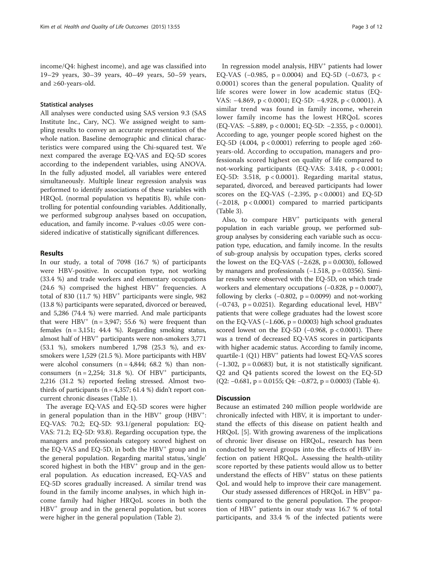income/Q4: highest income), and age was classified into 19–29 years, 30–39 years, 40–49 years, 50–59 years, and ≥60-years-old.

### Statistical analyses

All analyses were conducted using SAS version 9.3 (SAS Institute Inc., Cary, NC). We assigned weight to sampling results to convey an accurate representation of the whole nation. Baseline demographic and clinical characteristics were compared using the Chi-squared test. We next compared the average EQ-VAS and EQ-5D scores according to the independent variables, using ANOVA. In the fully adjusted model, all variables were entered simultaneously. Multiple linear regression analysis was performed to identify associations of these variables with HRQoL (normal population vs hepatitis B), while controlling for potential confounding variables. Additionally, we performed subgroup analyses based on occupation, education, and family income. P-values <0.05 were considered indicative of statistically significant differences.

### Results

In our study, a total of 7098 (16.7 %) of participants were HBV-positive. In occupation type, not working (33.4 %) and trade workers and elementary occupations (24.6 %) comprised the highest HBV<sup>+</sup> frequencies. A total of 830 (11.7 %)  $HBV<sup>+</sup>$  participants were single, 982 (13.8 %) participants were separated, divorced or bereaved, and 5,286 (74.4 %) were married. And male participants that were HBV<sup>+</sup> (n = 3,947; 55.6 %) were frequent than females  $(n = 3,151; 44.4 \%)$ . Regarding smoking status, almost half of HBV<sup>+</sup> participants were non-smokers 3,771 (53.1 %), smokers numbered 1,798 (25.3 %), and exsmokers were 1,529 (21.5 %). More participants with HBV were alcohol consumers  $(n = 4,844; 68.2 \%)$  than nonconsumers  $(n = 2,254; 31.8 \%)$ . Of HBV<sup>+</sup> participants, 2,216 (31.2 %) reported feeling stressed. Almost twothirds of participants ( $n = 4,357$ ; 61.4 %) didn't report concurrent chronic diseases (Table [1](#page-3-0)).

The average EQ-VAS and EQ-5D scores were higher in general population than in the HBV<sup>+</sup> group (HBV<sup>+</sup>: EQ-VAS: 70.2; EQ-5D: 93.1/general population: EQ-VAS: 71.2; EQ-5D: 93.8). Regarding occupation type, the managers and professionals category scored highest on the EQ-VAS and EQ-5D, in both the  $HBV<sup>+</sup>$  group and in the general population. Regarding marital status, 'single' scored highest in both the  $HBV<sup>+</sup>$  group and in the general population. As education increased, EQ-VAS and EQ-5D scores gradually increased. A similar trend was found in the family income analyses, in which high income family had higher HRQoL scores in both the  $HBV<sup>+</sup>$  group and in the general population, but scores were higher in the general population (Table [2\)](#page-5-0).

In regression model analysis, HBV<sup>+</sup> patients had lower EQ-VAS ( $-0.985$ ,  $p = 0.0004$ ) and EQ-5D ( $-0.673$ ,  $p <$ 0.0001) scores than the general population. Quality of life scores were lower in low academic status (EQ-VAS: −4.869, p < 0.0001; EQ-5D: −4.928, p < 0.0001). A similar trend was found in family income, wherein lower family income has the lowest HRQoL scores (EQ-VAS: −5.889, p < 0.0001; EQ-5D: −2.355, p < 0.0001). According to age, younger people scored highest on the EQ-5D (4.004,  $p < 0.0001$ ) referring to people aged ≥60years-old. According to occupation, managers and professionals scored highest on quality of life compared to not-working participants (EQ-VAS: 3.418, p < 0.0001; EQ-5D: 3.518,  $p < 0.0001$ ). Regarding marital status, separated, divorced, and bereaved participants had lower scores on the EQ-VAS (−2.395, p < 0.0001) and EQ-5D (−2.018, p < 0.0001) compared to married participants (Table [3](#page-7-0)).

Also, to compare HBV<sup>+</sup> participants with general population in each variable group, we performed subgroup analyses by considering each variable such as occupation type, education, and family income. In the results of sub-group analysis by occupation types, clerks scored the lowest on the EQ-VAS  $(-2.628, p = 0.0030)$ , followed by managers and professionals (−1.518, p = 0.0356). Similar results were observed with the EQ-5D, on which trade workers and elementary occupations (−0.828, p = 0.0007), following by clerks  $(-0.802, p = 0.0099)$  and not-working  $(-0.743, p = 0.0251)$ . Regarding educational level, HBV<sup>+</sup> patients that were college graduates had the lowest score on the EQ-VAS  $(-1.606, p = 0.0003)$  high school graduates scored lowest on the EQ-5D (−0.968, p < 0.0001). There was a trend of decreased EQ-VAS scores in participants with higher academic status. According to family income, quartile-1 (Q1) HBV<sup>+</sup> patients had lowest EQ-VAS scores  $(-1.302, p = 0.0683)$  but, it is not statistically significant. Q2 and Q4 patients scored the lowest on the EQ-5D (Q2: −0.681, p = 0.0155; Q4: −0.872, p = 0.0003) (Table [4\)](#page-9-0).

## **Discussion**

Because an estimated 240 million people worldwide are chronically infected with HBV, it is important to understand the effects of this disease on patient health and HRQoL [\[5\]](#page-10-0). With growing awareness of the implications of chronic liver disease on HRQoL, research has been conducted by several groups into the effects of HBV infection on patient HRQoL. Assessing the health-utility score reported by these patients would allow us to better understand the effects of HBV<sup>+</sup> status on these patients QoL and would help to improve their care management.

Our study assessed differences of HRQoL in HBV<sup>+</sup> patients compared to the general population. The proportion of  $HBV<sup>+</sup>$  patients in our study was 16.7 % of total participants, and 33.4 % of the infected patients were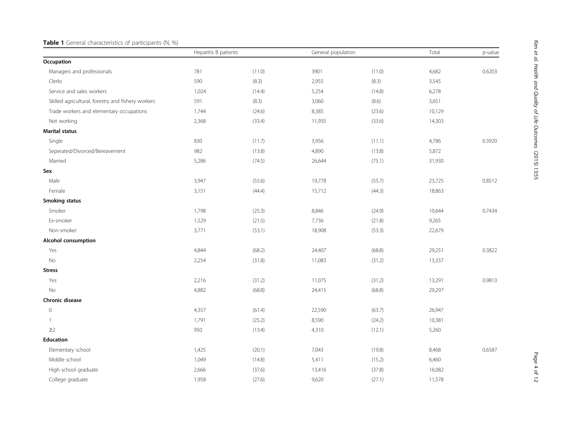# <span id="page-3-0"></span>**Table 1** General characteristics of participants (N, %)

|                                                    |       | Hepatitis B patients |        | General population |        | p-value |
|----------------------------------------------------|-------|----------------------|--------|--------------------|--------|---------|
| Occupation                                         |       |                      |        |                    |        |         |
| Managers and professionals                         | 781   | (11.0)               | 3901   | (11.0)             | 4,682  | 0.6203  |
| Clerks                                             | 590   | (8.3)                | 2,955  | (8.3)              | 3,545  |         |
| Service and sales workers                          | 1,024 | (14.4)               | 5,254  | (14.8)             | 6,278  |         |
| Skilled agricultural, forestry and fishery workers | 591   | (8.3)                | 3,060  | (8.6)              | 3,651  |         |
| Trade workers and elementary occupations           | 1,744 | (24.6)               | 8,385  | (23.6)             | 10,129 |         |
| Not working                                        | 2,368 | (33.4)               | 11,935 | (33.6)             | 14,303 |         |
| <b>Marital status</b>                              |       |                      |        |                    |        |         |
| Single                                             | 830   | (11.7)               | 3,956  | (11.1)             | 4,786  | 0.3920  |
| Seperated/Divorced/Bereavement                     | 982   | (13.8)               | 4,890  | (13.8)             | 5,872  |         |
| Married                                            | 5,286 | (74.5)               | 26,644 | (75.1)             | 31,930 |         |
| Sex                                                |       |                      |        |                    |        |         |
| Male                                               | 3,947 | (55.6)               | 19,778 | (55.7)             | 23,725 | 0.8512  |
| Female                                             | 3,151 | (44.4)               | 15,712 | (44.3)             | 18,863 |         |
| Smoking status                                     |       |                      |        |                    |        |         |
| Smoker                                             | 1,798 | (25.3)               | 8,846  | (24.9)             | 10,644 | 0.7434  |
| Ex-smoker                                          | 1,529 | (21.5)               | 7,736  | (21.8)             | 9,265  |         |
| Non-smoker                                         | 3,771 | (53.1)               | 18,908 | (53.3)             | 22,679 |         |
| Alcohol consumption                                |       |                      |        |                    |        |         |
| Yes                                                | 4,844 | (68.2)               | 24,407 | (68.8)             | 29,251 | 0.3822  |
| No                                                 | 2,254 | (31.8)               | 11,083 | (31.2)             | 13,337 |         |
| <b>Stress</b>                                      |       |                      |        |                    |        |         |
| Yes                                                | 2,216 | (31.2)               | 11,075 | (31.2)             | 13,291 | 0.9813  |
| No                                                 | 4,882 | (68.8)               | 24,415 | (68.8)             | 29,297 |         |
| Chronic disease                                    |       |                      |        |                    |        |         |
| $\mathbb O$                                        | 4,357 | (61.4)               | 22,590 | (63.7)             | 26,947 |         |
| $\mathbf{1}$                                       | 1,791 | (25.2)               | 8,590  | (24.2)             | 10,381 |         |
| $\geq$ 2                                           | 950   | (13.4)               | 4,310  | (12.1)             | 5,260  |         |
| <b>Education</b>                                   |       |                      |        |                    |        |         |
| Elementary school                                  | 1,425 | (20.1)               | 7,043  | (19.8)             | 8,468  | 0.6587  |
| Middle school                                      | 1,049 | (14.8)               | 5,411  | (15.2)             | 6,460  |         |
| High school graduate                               | 2,666 | (37.6)               | 13,416 | (37.8)             | 16,082 |         |
| College graduate                                   | 1,958 | (27.6)               | 9,620  | (27.1)             | 11,578 |         |
|                                                    |       |                      |        |                    |        |         |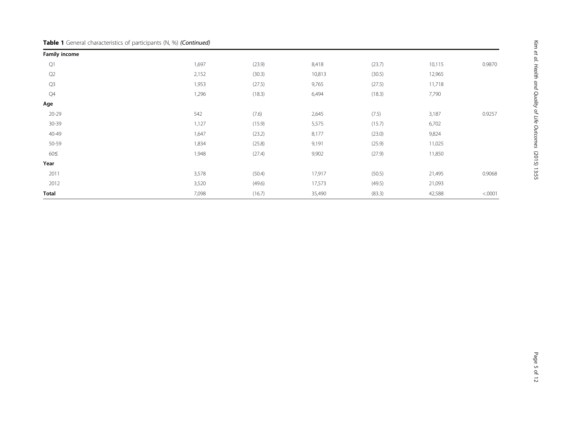| <b>Family income</b> |       |        |        |        |        |         |
|----------------------|-------|--------|--------|--------|--------|---------|
| Q1                   | 1,697 | (23.9) | 8,418  | (23.7) | 10,115 | 0.9870  |
| Q2                   | 2,152 | (30.3) | 10,813 | (30.5) | 12,965 |         |
| Q <sub>3</sub>       | 1,953 | (27.5) | 9,765  | (27.5) | 11,718 |         |
| Q4                   | 1,296 | (18.3) | 6,494  | (18.3) | 7,790  |         |
| Age                  |       |        |        |        |        |         |
| $20 - 29$            | 542   | (7.6)  | 2,645  | (7.5)  | 3,187  | 0.9257  |
| 30-39                | 1,127 | (15.9) | 5,575  | (15.7) | 6,702  |         |
| 40-49                | 1,647 | (23.2) | 8,177  | (23.0) | 9,824  |         |
| 50-59                | 1,834 | (25.8) | 9,191  | (25.9) | 11,025 |         |
| $60\leq$             | 1,948 | (27.4) | 9,902  | (27.9) | 11,850 |         |
| Year                 |       |        |        |        |        |         |
| 2011                 | 3,578 | (50.4) | 17,917 | (50.5) | 21,495 | 0.9068  |
| 2012                 | 3,520 | (49.6) | 17,573 | (49.5) | 21,093 |         |
| <b>Total</b>         | 7,098 | (16.7) | 35,490 | (83.3) | 42,588 | < .0001 |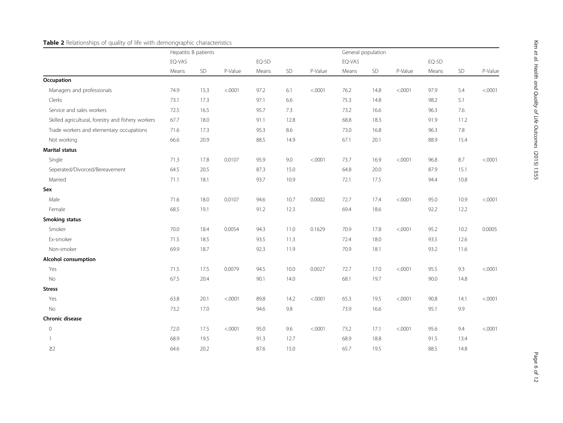# <span id="page-5-0"></span>Table 2 Relationships of quality of life with demongraphic characteristics

|                                                    |        | Hepatitis B patients |         |       |      | General population |        |      |         |       |      |         |
|----------------------------------------------------|--------|----------------------|---------|-------|------|--------------------|--------|------|---------|-------|------|---------|
|                                                    | EQ-VAS |                      |         | EQ-5D |      |                    | EQ-VAS |      |         | EQ-5D |      |         |
|                                                    | Means  | SD                   | P-Value | Means | SD   | P-Value            | Means  | SD   | P-Value | Means | SD   | P-Value |
| Occupation                                         |        |                      |         |       |      |                    |        |      |         |       |      |         |
| Managers and professionals                         | 74.9   | 15.3                 | < .0001 | 97.2  | 6.1  | < .0001            | 76.2   | 14.8 | < .0001 | 97.9  | 5.4  | < .0001 |
| Clerks                                             | 73.1   | 17.3                 |         | 97.1  | 6.6  |                    | 75.3   | 14.8 |         | 98.2  | 5.1  |         |
| Service and sales workers                          | 72.5   | 16.5                 |         | 95.7  | 7.3  |                    | 73.2   | 16.6 |         | 96.3  | 7.6  |         |
| Skilled agricultural, forestry and fishery workers | 67.7   | 18.0                 |         | 91.1  | 12.8 |                    | 68.8   | 18.3 |         | 91.9  | 11.2 |         |
| Trade workers and elementary occupations           | 71.6   | 17.3                 |         | 95.3  | 8.6  |                    | 73.0   | 16.8 |         | 96.3  | 7.8  |         |
| Not working                                        | 66.6   | 20.9                 |         | 88.5  | 14.9 |                    | 67.1   | 20.1 |         | 88.9  | 15.4 |         |
| <b>Marital status</b>                              |        |                      |         |       |      |                    |        |      |         |       |      |         |
| Single                                             | 71.3   | 17.8                 | 0.0107  | 95.9  | 9.0  | < .0001            | 73.7   | 16.9 | < .0001 | 96.8  | 8.7  | < .0001 |
| Seperated/Divorced/Bereavement                     | 64.5   | 20.5                 |         | 87.3  | 15.0 |                    | 64.8   | 20.0 |         | 87.9  | 15.1 |         |
| Married                                            | 71.1   | 18.1                 |         | 93.7  | 10.9 |                    | 72.1   | 17.5 |         | 94.4  | 10.8 |         |
| Sex                                                |        |                      |         |       |      |                    |        |      |         |       |      |         |
| Male                                               | 71.6   | 18.0                 | 0.0107  | 94.6  | 10.7 | 0.0002             | 72.7   | 17.4 | < .0001 | 95.0  | 10.9 | < .0001 |
| Female                                             | 68.5   | 19.1                 |         | 91.2  | 12.3 |                    | 69.4   | 18.6 |         | 92.2  | 12.2 |         |
| Smoking status                                     |        |                      |         |       |      |                    |        |      |         |       |      |         |
| Smoker                                             | 70.0   | 18.4                 | 0.0054  | 94.3  | 11.0 | 0.1629             | 70.9   | 17.8 | < .0001 | 95.2  | 10.2 | 0.0005  |
| Ex-smoker                                          | 71.5   | 18.5                 |         | 93.5  | 11.3 |                    | 72.4   | 18.0 |         | 93.5  | 12.6 |         |
| Non-smoker                                         | 69.9   | 18.7                 |         | 92.3  | 11.9 |                    | 70.9   | 18.1 |         | 93.2  | 11.6 |         |
| Alcohol consumption                                |        |                      |         |       |      |                    |        |      |         |       |      |         |
| Yes                                                | 71.5   | 17.5                 | 0.0079  | 94.5  | 10.0 | 0.0027             | 72.7   | 17.0 | < .0001 | 95.5  | 9.3  | < .0001 |
| <b>No</b>                                          | 67.5   | 20.4                 |         | 90.1  | 14.0 |                    | 68.1   | 19.7 |         | 90.0  | 14.8 |         |
| <b>Stress</b>                                      |        |                      |         |       |      |                    |        |      |         |       |      |         |
| Yes                                                | 63.8   | 20.1                 | < .0001 | 89.8  | 14.2 | < .0001            | 65.3   | 19.5 | < .0001 | 90.8  | 14.1 | < .0001 |
| <b>No</b>                                          | 73.2   | 17.0                 |         | 94.6  | 9.8  |                    | 73.9   | 16.6 |         | 95.1  | 9.9  |         |
| Chronic disease                                    |        |                      |         |       |      |                    |        |      |         |       |      |         |
| $\circ$                                            | 72.0   | 17.5                 | < .0001 | 95.0  | 9.6  | < .0001            | 73.2   | 17.1 | < .0001 | 95.6  | 9.4  | < .0001 |
| $\mathbf{1}$                                       | 68.9   | 19.5                 |         | 91.3  | 12.7 |                    | 68.9   | 18.8 |         | 91.5  | 13.4 |         |
| $\geq$ 2                                           | 64.6   | 20.2                 |         | 87.6  | 15.0 |                    | 65.7   | 19.5 |         | 88.5  | 14.8 |         |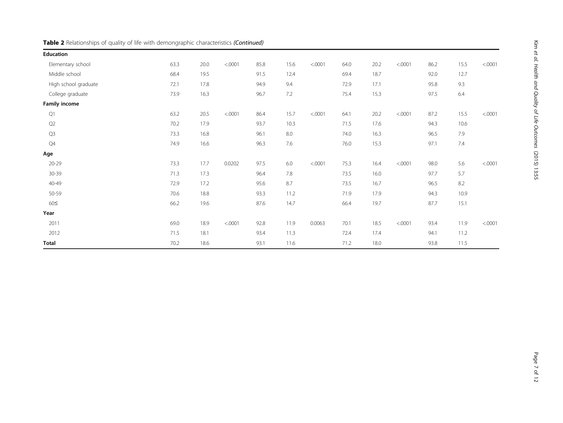| <b>Table 2</b> Relationships of quality of life with demongraphic characteristics (Continued) |  |  |  |  |
|-----------------------------------------------------------------------------------------------|--|--|--|--|
|-----------------------------------------------------------------------------------------------|--|--|--|--|

| Education            |      |      |         |      |         |         |      |      |         |      |      |         |
|----------------------|------|------|---------|------|---------|---------|------|------|---------|------|------|---------|
| Elementary school    | 63.3 | 20.0 | < .0001 | 85.8 | 15.6    | < .0001 | 64.0 | 20.2 | < .0001 | 86.2 | 15.5 | < 0001  |
| Middle school        | 68.4 | 19.5 |         | 91.5 | 12.4    |         | 69.4 | 18.7 |         | 92.0 | 12.7 |         |
| High school graduate | 72.1 | 17.8 |         | 94.9 | 9.4     |         | 72.9 | 17.1 |         | 95.8 | 9.3  |         |
| College graduate     | 73.9 | 16.3 |         | 96.7 | 7.2     |         | 75.4 | 15.3 |         | 97.5 | 6.4  |         |
| <b>Family income</b> |      |      |         |      |         |         |      |      |         |      |      |         |
| Q1                   | 63.2 | 20.5 | < .0001 | 86.4 | 15.7    | < .0001 | 64.1 | 20.2 | < .0001 | 87.2 | 15.5 | < .0001 |
| Q2                   | 70.2 | 17.9 |         | 93.7 | 10.3    |         | 71.5 | 17.6 |         | 94.3 | 10.6 |         |
| Q3                   | 73.3 | 16.8 |         | 96.1 | $8.0\,$ |         | 74.0 | 16.3 |         | 96.5 | 7.9  |         |
| Q4                   | 74.9 | 16.6 |         | 96.3 | 7.6     |         | 76.0 | 15.3 |         | 97.1 | 7.4  |         |
| Age                  |      |      |         |      |         |         |      |      |         |      |      |         |
| $20 - 29$            | 73.3 | 17.7 | 0.0202  | 97.5 | 6.0     | < .0001 | 75.3 | 16.4 | < .0001 | 98.0 | 5.6  | < 0001  |
| 30-39                | 71.3 | 17.3 |         | 96.4 | 7.8     |         | 73.5 | 16.0 |         | 97.7 | 5.7  |         |
| 40-49                | 72.9 | 17.2 |         | 95.6 | 8.7     |         | 73.5 | 16.7 |         | 96.5 | 8.2  |         |
| 50-59                | 70.6 | 18.8 |         | 93.3 | 11.2    |         | 71.9 | 17.9 |         | 94.3 | 10.9 |         |
| $60\leq$             | 66.2 | 19.6 |         | 87.6 | 14.7    |         | 66.4 | 19.7 |         | 87.7 | 15.1 |         |
| Year                 |      |      |         |      |         |         |      |      |         |      |      |         |
| 2011                 | 69.0 | 18.9 | < .0001 | 92.8 | 11.9    | 0.0063  | 70.1 | 18.5 | < .0001 | 93.4 | 11.9 | < 0001  |
| 2012                 | 71.5 | 18.1 |         | 93.4 | 11.3    |         | 72.4 | 17.4 |         | 94.1 | 11.2 |         |
| <b>Total</b>         | 70.2 | 18.6 |         | 93.1 | 11.6    |         | 71.2 | 18.0 |         | 93.8 | 11.5 |         |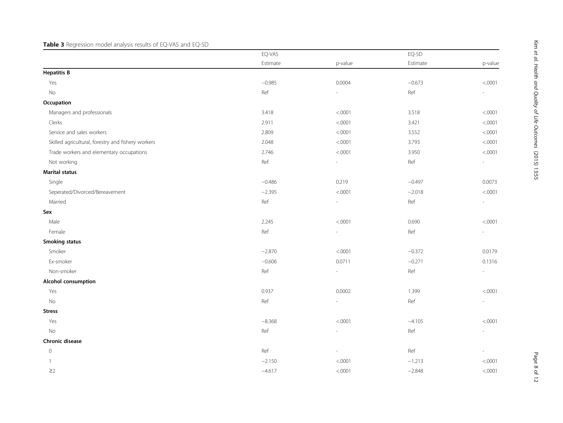# <span id="page-7-0"></span>Table 3 Regression model analysis results of EQ-VAS and EQ-5D

|                                                    | EQ-VAS   |                          | $EQ-5D$  |         |
|----------------------------------------------------|----------|--------------------------|----------|---------|
|                                                    | Estimate | p-value                  | Estimate | p-value |
| <b>Hepatitis B</b>                                 |          |                          |          |         |
| Yes                                                | $-0.985$ | 0.0004                   | $-0.673$ | < .0001 |
| No                                                 | Ref      |                          | Ref      |         |
| Occupation                                         |          |                          |          |         |
| Managers and professionals                         | 3.418    | < .0001                  | 3.518    | < .0001 |
| Clerks                                             | 2.911    | < .0001                  | 3.421    | < .0001 |
| Service and sales workers                          | 2.809    | < .0001                  | 3.552    | < .0001 |
| Skilled agricultural, forestry and fishery workers | 2.048    | < .0001                  | 3.793    | < .0001 |
| Trade workers and elementary occupations           | 2.746    | < .0001                  | 3.950    | < .0001 |
| Not working                                        | Ref      | $\overline{\phantom{a}}$ | Ref      |         |
| <b>Marital status</b>                              |          |                          |          |         |
| Single                                             | $-0.486$ | 0.219                    | $-0.497$ | 0.0073  |
| Seperated/Divorced/Bereavement                     | $-2.395$ | < .0001                  | $-2.018$ | < .0001 |
| Married                                            | Ref      |                          | Ref      |         |
| Sex                                                |          |                          |          |         |
| Male                                               | 2.245    | < .0001                  | 0.690    | < .0001 |
| Female                                             | Ref      |                          | Ref      |         |
| Smoking status                                     |          |                          |          |         |
| Smoker                                             | $-2.870$ | < .0001                  | $-0.372$ | 0.0179  |
| Ex-smoker                                          | $-0.606$ | 0.0711                   | $-0.271$ | 0.1316  |
| Non-smoker                                         | Ref      |                          | Ref      |         |
| Alcohol consumption                                |          |                          |          |         |
| Yes                                                | 0.937    | 0.0002                   | 1.399    | < .0001 |
| No                                                 | Ref      |                          | Ref      |         |
| <b>Stress</b>                                      |          |                          |          |         |
| Yes                                                | $-8.368$ | < .0001                  | $-4.105$ | < .0001 |
| No                                                 | Ref      |                          | Ref      |         |
| Chronic disease                                    |          |                          |          |         |
| $\mathbb O$                                        | Ref      |                          | Ref      |         |
| 1                                                  | $-2.150$ | < .0001                  | $-1.213$ | < .0001 |
| $\geq$ 2                                           | $-4.617$ | < .0001                  | $-2.848$ | < .0001 |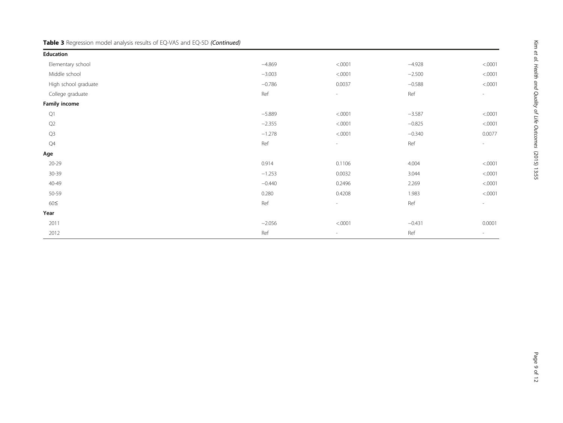Table 3 Regression model analysis results of EQ-VAS and EQ-5D (Continued)

| Education            |          |         |          |         |
|----------------------|----------|---------|----------|---------|
| Elementary school    | $-4.869$ | < .0001 | $-4.928$ | < .0001 |
| Middle school        | $-3.003$ | < 0001  | $-2.500$ | < 0.001 |
| High school graduate | $-0.786$ | 0.0037  | $-0.588$ | < .0001 |
| College graduate     | Ref      | $\sim$  | Ref      | $\sim$  |
| <b>Family income</b> |          |         |          |         |
| $\mathsf{Q}1$        | $-5.889$ | < 0001  | $-3.587$ | < 0.001 |
| $\mathsf{Q}2$        | $-2.355$ | < .0001 | $-0.825$ | < 0.001 |
| $\mathsf{Q}3$        | $-1.278$ | < .0001 | $-0.340$ | 0.0077  |
| Q <sub>4</sub>       | Ref      | $\sim$  | Ref      | $\sim$  |
| Age                  |          |         |          |         |
| $20 - 29$            | 0.914    | 0.1106  | 4.004    | < 0.001 |
| 30-39                | $-1.253$ | 0.0032  | 3.044    | < 0.001 |
| 40-49                | $-0.440$ | 0.2496  | 2.269    | < .0001 |
| 50-59                | 0.280    | 0.4208  | 1.983    | < .0001 |
| $60\leq$             | Ref      | $\sim$  | Ref      | $\sim$  |
| Year                 |          |         |          |         |
| 2011                 | $-2.056$ | < .0001 | $-0.431$ | 0.0001  |
| 2012                 | Ref      | $\sim$  | Ref      | $\sim$  |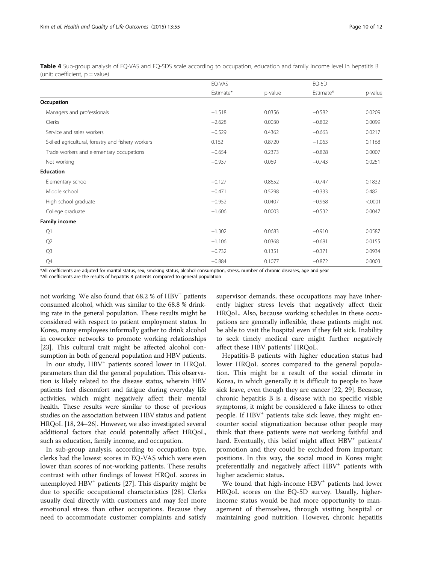<span id="page-9-0"></span>Table 4 Sub-group analysis of EQ-VAS and EQ-5DS scale according to occupation, education and family income level in hepatitis B (unit: coefficient,  $p =$  value)

|                                                    | EQ-VAS    |         | EQ-5D     |         |
|----------------------------------------------------|-----------|---------|-----------|---------|
|                                                    | Estimate* | p-value | Estimate* | p-value |
| Occupation                                         |           |         |           |         |
| Managers and professionals                         | $-1.518$  | 0.0356  | $-0.582$  | 0.0209  |
| Clerks                                             | $-2.628$  | 0.0030  | $-0.802$  | 0.0099  |
| Service and sales workers                          | $-0.529$  | 0.4362  | $-0.663$  | 0.0217  |
| Skilled agricultural, forestry and fishery workers | 0.162     | 0.8720  | $-1.063$  | 0.1168  |
| Trade workers and elementary occupations           | $-0.654$  | 0.2373  | $-0.828$  | 0.0007  |
| Not working                                        | $-0.937$  | 0.069   | $-0.743$  | 0.0251  |
| <b>Education</b>                                   |           |         |           |         |
| Elementary school                                  | $-0.127$  | 0.8652  | $-0.747$  | 0.1832  |
| Middle school                                      | $-0.471$  | 0.5298  | $-0.333$  | 0.482   |
| High school graduate                               | $-0.952$  | 0.0407  | $-0.968$  | < .0001 |
| College graduate                                   | $-1.606$  | 0.0003  | $-0.532$  | 0.0047  |
| <b>Family income</b>                               |           |         |           |         |
| Q1                                                 | $-1.302$  | 0.0683  | $-0.910$  | 0.0587  |
| Q2                                                 | $-1.106$  | 0.0368  | $-0.681$  | 0.0155  |
| Q <sub>3</sub>                                     | $-0.732$  | 0.1351  | $-0.371$  | 0.0934  |
| Q4                                                 | $-0.884$  | 0.1077  | $-0.872$  | 0.0003  |

\*All coefficients are adjuted for marital status, sex, smoking status, alcohol consumption, stress, number of chronic diseases, age and year

\*All coefficients are the results of hepatitis B patients compared to general population

not working. We also found that 68.2 % of HBV<sup>+</sup> patients consumed alcohol, which was similar to the 68.8 % drinking rate in the general population. These results might be considered with respect to patient employment status. In Korea, many employees informally gather to drink alcohol in coworker networks to promote working relationships [[23](#page-11-0)]. This cultural trait might be affected alcohol consumption in both of general population and HBV patients.

In our study, HBV<sup>+</sup> patients scored lower in HRQoL parameters than did the general population. This observation is likely related to the disease status, wherein HBV patients feel discomfort and fatigue during everyday life activities, which might negatively affect their mental health. These results were similar to those of previous studies on the association between HBV status and patient HRQoL [\[18, 24](#page-11-0)–[26](#page-11-0)]. However, we also investigated several additional factors that could potentially affect HRQoL, such as education, family income, and occupation.

In sub-group analysis, according to occupation type, clerks had the lowest scores in EQ-VAS which were even lower than scores of not-working patients. These results contrast with other findings of lowest HRQoL scores in unemployed  $HBV<sup>+</sup>$  patients [\[27](#page-11-0)]. This disparity might be due to specific occupational characteristics [\[28\]](#page-11-0). Clerks usually deal directly with customers and may feel more emotional stress than other occupations. Because they need to accommodate customer complaints and satisfy

supervisor demands, these occupations may have inherently higher stress levels that negatively affect their HRQoL. Also, because working schedules in these occupations are generally inflexible, these patients might not be able to visit the hospital even if they felt sick. Inability to seek timely medical care might further negatively affect these HBV patients' HRQoL.

Hepatitis-B patients with higher education status had lower HRQoL scores compared to the general population. This might be a result of the social climate in Korea, in which generally it is difficult to people to have sick leave, even though they are cancer [[22, 29\]](#page-11-0). Because, chronic hepatitis B is a disease with no specific visible symptoms, it might be considered a fake illness to other people. If HBV<sup>+</sup> patients take sick leave, they might encounter social stigmatization because other people may think that these patients were not working faithful and hard. Eventually, this belief might affect  $HBV<sup>+</sup>$  patients' promotion and they could be excluded from important positions. In this way, the social mood in Korea might preferentially and negatively affect HBV<sup>+</sup> patients with higher academic status.

We found that high-income HBV<sup>+</sup> patients had lower HRQoL scores on the EQ-5D survey. Usually, higherincome status would be had more opportunity to management of themselves, through visiting hospital or maintaining good nutrition. However, chronic hepatitis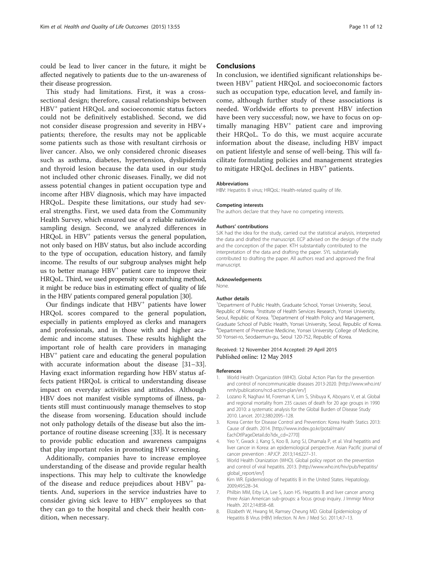<span id="page-10-0"></span>could be lead to liver cancer in the future, it might be affected negatively to patients due to the un-awareness of their disease progression.

This study had limitations. First, it was a crosssectional design; therefore, causal relationships between HBV<sup>+</sup> patient HRQoL and socioeconomic status factors could not be definitively established. Second, we did not consider disease progression and severity in HBV+ patients; therefore, the results may not be applicable some patients such as those with resultant cirrhosis or liver cancer. Also, we only considered chronic diseases such as asthma, diabetes, hypertension, dyslipidemia and thyroid lesion because the data used in our study not included other chronic diseases. Finally, we did not assess potential changes in patient occupation type and income after HBV diagnosis, which may have impacted HRQoL. Despite these limitations, our study had several strengths. First, we used data from the Community Health Survey, which ensured use of a reliable nationwide sampling design. Second, we analyzed differences in HRQoL in HBV<sup>+</sup> patients versus the general population, not only based on HBV status, but also include according to the type of occupation, education history, and family income. The results of our subgroup analyses might help us to better manage HBV<sup>+</sup> patient care to improve their HRQoL. Third, we used propensity score matching method, it might be reduce bias in estimating effect of quality of life in the HBV patients compared general population [[30\]](#page-11-0).

Our findings indicate that  $HBV<sup>+</sup>$  patients have lower HRQoL scores compared to the general population, especially in patients employed as clerks and managers and professionals, and in those with and higher academic and income statuses. These results highlight the important role of health care providers in managing HBV<sup>+</sup> patient care and educating the general population with accurate information about the disease [[31](#page-11-0)–[33](#page-11-0)]. Having exact information regarding how HBV status affects patient HRQoL is critical to understanding disease impact on everyday activities and attitudes. Although HBV does not manifest visible symptoms of illness, patients still must continuously manage themselves to stop the disease from worsening. Education should include not only pathology details of the disease but also the importance of routine disease screening [\[33\]](#page-11-0). It is necessary to provide public education and awareness campaigns that play important roles in promoting HBV screening.

Additionally, companies have to increase employee understanding of the disease and provide regular health inspections. This may help to cultivate the knowledge of the disease and reduce prejudices about  $HBV<sup>+</sup>$  patients. And, superiors in the service industries have to consider giving sick leave to  $HBV^+$  employees so that they can go to the hospital and check their health condition, when necessary.

### Conclusions

In conclusion, we identified significant relationships between HBV<sup>+</sup> patient HRQoL and socioeconomic factors such as occupation type, education level, and family income, although further study of these associations is needed. Worldwide efforts to prevent HBV infection have been very successful; now, we have to focus on optimally managing HBV<sup>+</sup> patient care and improving their HRQoL. To do this, we must acquire accurate information about the disease, including HBV impact on patient lifestyle and sense of well-being. This will facilitate formulating policies and management strategies to mitigate HROoL declines in HBV<sup>+</sup> patients.

### Abbreviations

HBV: Hepatitis B virus; HRQoL: Health-related quality of life.

#### Competing interests

The authors declare that they have no competing interests.

#### Authors' contributions

SJK had the idea for the study, carried out the statistical analysis, interpreted the data and drafted the manuscript. ECP advised on the design of the study and the conception of the paper. KTH substantially contributed to the interpretation of the data and drafting the paper. SYL substantially contributed to drafting the paper. All authors read and approved the final manuscript.

### Acknowledgements

None.

#### Author details

<sup>1</sup>Department of Public Health, Graduate School, Yonsei University, Seoul Republic of Korea. <sup>2</sup>Institute of Health Services Research, Yonsei University, Seoul, Republic of Korea. <sup>3</sup> Department of Health Policy and Management, Graduate School of Public Health, Yonsei University, Seoul, Republic of Korea. 4 Department of Preventive Medicine, Yonsei University College of Medicine, 50 Yonsei-ro, Seodaemun-gu, Seoul 120-752, Republic of Korea.

### Received: 12 November 2014 Accepted: 29 April 2015 Published online: 12 May 2015

#### References

- 1. World Health Organization (WHO). Global Action Plan for the prevention and control of noncommunicable diseases 2013-2020. [[http://www.who.int/](http://www.who.int/nmh/publications/ncd-action-plan/en/) [nmh/publications/ncd-action-plan/en/](http://www.who.int/nmh/publications/ncd-action-plan/en/)]
- 2. Lozano R, Naghavi M, Foreman K, Lim S, Shibuya K, Aboyans V, et al. Global and regional mortality from 235 causes of death for 20 age groups in 1990 and 2010: a systematic analysis for the Global Burden of Disease Study 2010. Lancet. 2012;380:2095–128.
- 3. Korea Center for Disease Control and Prevention: Korea Health Statics 2013: Cause of death. 2014. [\[http://www.index.go.kr/potal/main/](http://www.index.go.kr/potal/main/EachDtlPageDetail.do?idx_cd=2770) [EachDtlPageDetail.do?idx\\_cd=2770\]](http://www.index.go.kr/potal/main/EachDtlPageDetail.do?idx_cd=2770)
- 4. Yeo Y, Gwack J, Kang S, Koo B, Jung SJ, Dhamala P, et al. Viral hepatitis and liver cancer in Korea: an epidemiological perspective. Asian Pacific journal of cancer prevention : APJCP. 2013;14:6227–31.
- 5. World Health Oranization (WHO). Global policy report on the prevention and control of viral hepatitis. 2013. [[http://www.who.int/hiv/pub/hepatitis/](http://www.who.int/hiv/pub/hepatitis/global_report/en/) [global\\_report/en/](http://www.who.int/hiv/pub/hepatitis/global_report/en/)]
- 6. Kim WR. Epidemiology of hepatitis B in the United States. Hepatology. 2009;49:S28–34.
- 7. Philbin MM, Erby LA, Lee S, Juon HS. Hepatitis B and liver cancer among three Asian American sub-groups: a focus group inquiry. J Immigr Minor Health. 2012;14:858–68.
- 8. Elizabeth W, Hwang M, Ramsey Cheung MD. Global Epidemiology of Hepatitis B Virus (HBV) Infection. N Am J Med Sci. 2011;4:7–13.